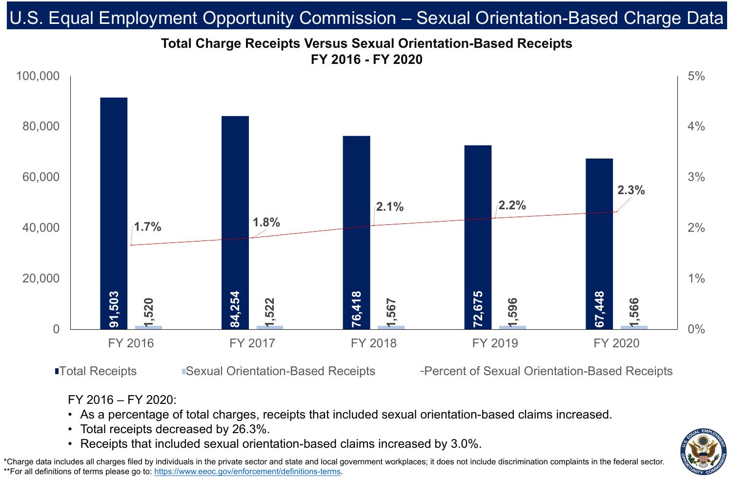

## **Total Charge Receipts Versus Sexual Orientation-Based Receipts FY 2016 - FY 2020** U.S. Equal Employment Opportunity Commission – Sexual Orientation-Based Charge Data

\*Charge data includes all charges filed by individuals in the private sector and state and local government workplaces; it does not include discrimination complaints in the federal sector. \*\*For all definitions of terms please go to:<https://www.eeoc.gov/enforcement/definitions-terms>.



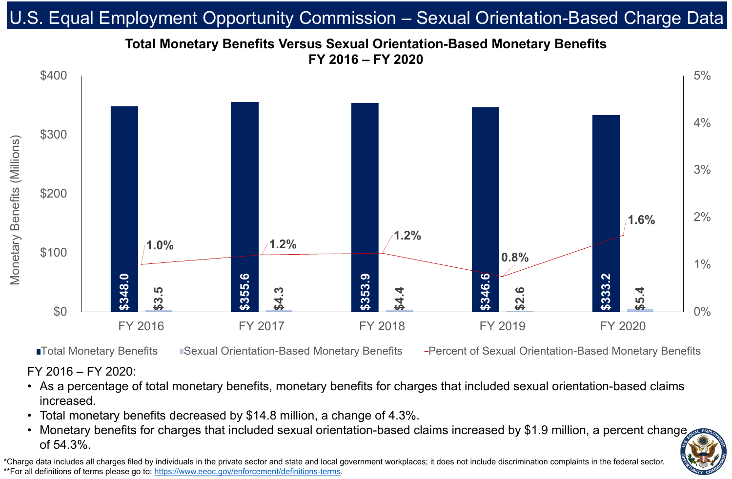FY 2016 – FY 2020:

efits

eta

## • Total monetary benefits decreased by \$14.8 million, a change of 4.3%. • Monetary benefits for charges that included sexual orientation-based claims increased by \$1.9 million, a percent change



## • As a percentage of total monetary benefits, monetary benefits for charges that included sexual orientation-based claims

- increased.
- 
- of 54.3%.

# **Total Monetary Benefits Versus Sexual Orientation-Based Monetary Benefits FY 2016 – FY 2020** U.S. Equal Employment Opportunity Commission – Sexual Orientation-Based Charge Data

\*Charge data includes all charges filed by individuals in the private sector and state and local government workplaces; it does not include discrimination complaints in the federal sector. \*\*For all definitions of terms please go to:<https://www.eeoc.gov/enforcement/definitions-terms>.

## **ITotal Monetary Benefits** IS exual Orientation-Based Monetary Benefits - Percent of Sexual Orientation-Based Monetary Benefits

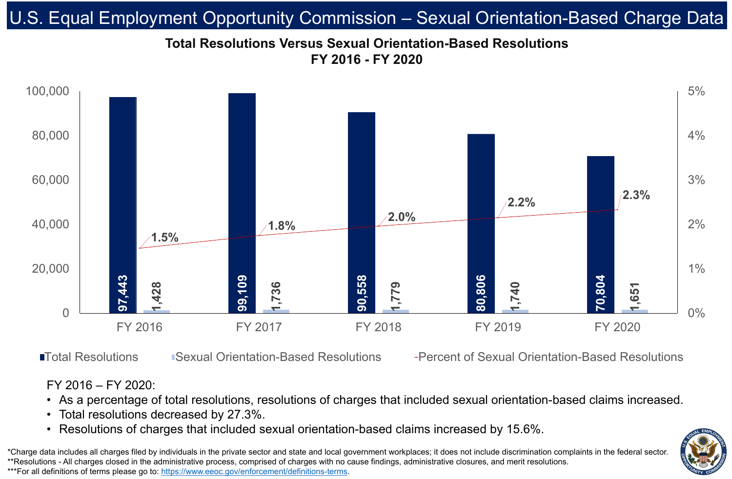



# **Total Resolutions Versus Sexual Orientation-Based Resolutions FY 2016 - FY 2020** U.S. Equal Employment Opportunity Commission – Sexual Orientation-Based Charge Data

\*Charge data includes all charges filed by individuals in the private sector and state and local government workplaces; it does not include discrimination complaints in the federal sector. \*\*Resolutions - All charges closed in the administrative process, comprised of charges with no cause findings, administrative closures, and merit resolutions. \*\*\*For all definitions of terms please go to:<https://www.eeoc.gov/enforcement/definitions-terms>.

## **ITotal Resolutions In Integral Sexual Orientation-Based Resolutions Fercent of Sexual Orientation-Based Resolutions**

- FY 2016 FY 2020:
- 
- Total resolutions decreased by 27.3%.
- 

# • As a percentage of total resolutions, resolutions of charges that included sexual orientation-based claims increased. • Resolutions of charges that included sexual orientation-based claims increased by 15.6%.

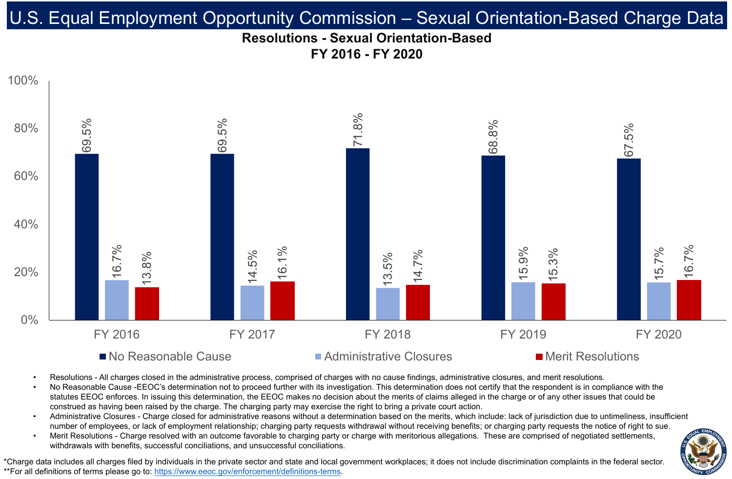## **Resolutions - Sexual Orientation-Based FY 2016 - FY 2020** U.S. Equal Employment Opportunity Commission – Sexual Orientation-Based Charge Data



## $\blacksquare$  No Reasonable Cause  $\blacksquare$  Administrative Closures  $\blacksquare$  Merit Resolutions



## FY 2016 FY 2017 FY 2018 FY 2019 FY 2020

- 
- 
- 
- 

\*Charge data includes all charges filed by individuals in the private sector and state and local government workplaces; it does not include discrimination complaints in the federal sector. \*\*For all definitions of terms please go to:<https://www.eeoc.gov/enforcement/definitions-terms>.

• Resolutions - All charges closed in the administrative process, comprised of charges with no cause findings, administrative closures, and merit resolutions. No Reasonable Cause -EEOC's determination not to proceed further with its investigation. This determination does not certify that the respondent is in compliance with the statutes EEOC enforces. In issuing this determination, the EEOC makes no decision about the merits of claims alleged in the charge or of any other issues that could be construed as having been raised by the charge. The charging party may exercise the right to bring a private court action. • Administrative Closures - Charge closed for administrative reasons without a determination based on the merits, which include: lack of jurisdiction due to untimeliness, insufficient number of employees, or lack of employment relationship; charging party requests withdrawal without receiving benefits; or charging party requests the notice of right to sue. Merit Resolutions - Charge resolved with an outcome favorable to charging party or charge with meritorious allegations. These are comprised of negotiated settlements, withdrawals with benefits, successful conciliations, and unsuccessful conciliations.